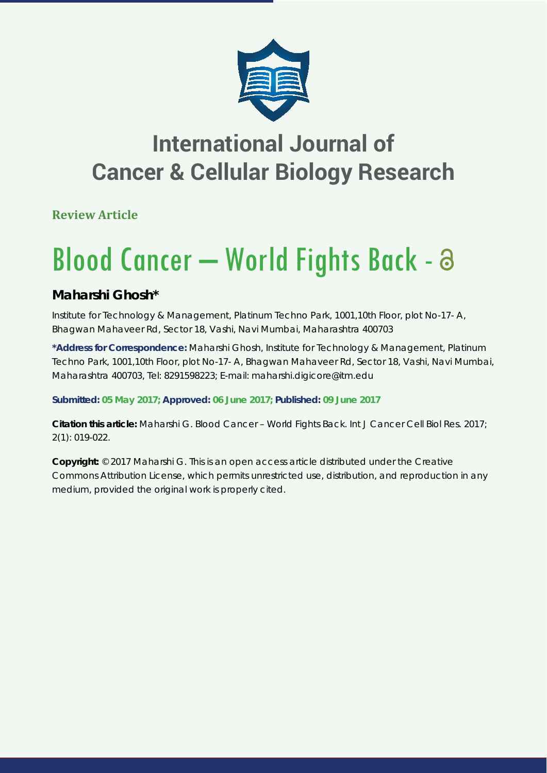

## **International Journal of Cancer & Cellular Biology Research**

**Review Article**

# Blood Cancer - World Fights Back - a

### **Maharshi Ghosh\***

*Institute for Technology & Management, Platinum Techno Park, 1001,10th Floor, plot No-17- A, Bhagwan Mahaveer Rd, Sector 18, Vashi, Navi Mumbai, Maharashtra 400703*

**\*Address for Correspondence:** Maharshi Ghosh, Institute for Technology & Management, Platinum Techno Park, 1001,10th Floor, plot No-17- A, Bhagwan Mahaveer Rd, Sector 18, Vashi, Navi Mumbai, Maharashtra 400703, Tel: 8291598223; E-mail: maharshi.digicore@itm.edu

**Submitted: 05 May 2017; Approved: 06 June 2017; Published: 09 June 2017**

**Citation this article:** Maharshi G. Blood Cancer – World Fights Back. Int J Cancer Cell Biol Res. 2017; 2(1): 019-022.

**Copyright:** © 2017 Maharshi G. This is an open access article distributed under the Creative Commons Attribution License, which permits unrestricted use, distribution, and reproduction in any medium, provided the original work is properly cited.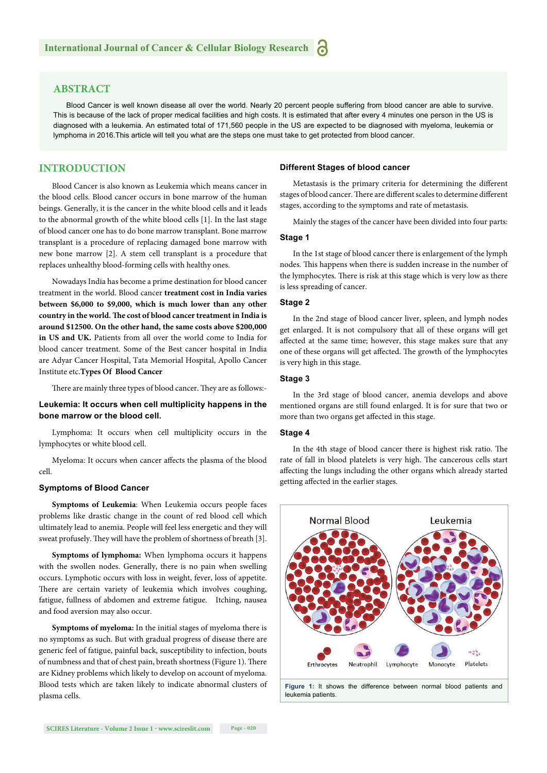#### **ABSTRACT**

Blood Cancer is well known disease all over the world. Nearly 20 percent people suffering from blood cancer are able to survive. This is because of the lack of proper medical facilities and high costs. It is estimated that after every 4 minutes one person in the US is diagnosed with a leukemia. An estimated total of 171,560 people in the US are expected to be diagnosed with myeloma, leukemia or lymphoma in 2016.This article will tell you what are the steps one must take to get protected from blood cancer.

#### **INTRODUCTION**

Blood Cancer is also known as Leukemia which means cancer in the blood cells. Blood cancer occurs in bone marrow of the human beings. Generally, it is the cancer in the white blood cells and it leads to the abnormal growth of the white blood cells [1]. In the last stage of blood cancer one has to do bone marrow transplant. Bone marrow transplant is a procedure of replacing damaged bone marrow with new bone marrow [2]. A stem cell transplant is a procedure that replaces unhealthy blood-forming cells with healthy ones.

Nowadays India has become a prime destination for blood cancer treatment in the world. Blood cancer **treatment cost in India varies between \$6,000 to \$9,000, which is much lower than any other**  country in the world. The cost of blood cancer treatment in India is **around \$12500. On the other hand, the same costs above \$200,000 in US and UK.** Patients from all over the world come to India for blood cancer treatment. Some of the Best cancer hospital in India are Adyar Cancer Hospital, Tata Memorial Hospital, Apollo Cancer Institute etc.**Types Of Blood Cancer**

There are mainly three types of blood cancer. They are as follows:-

#### **Leukemia: It occurs when cell multiplicity happens in the bone marrow or the blood cell.**

Lymphoma: It occurs when cell multiplicity occurs in the lymphocytes or white blood cell.

Myeloma: It occurs when cancer affects the plasma of the blood cell.

#### **Symptoms of Blood Cancer**

**Symptoms of Leukemia**: When Leukemia occurs people faces problems like drastic change in the count of red blood cell which ultimately lead to anemia. People will feel less energetic and they will sweat profusely. They will have the problem of shortness of breath [3].

**Symptoms of lymphoma:** When lymphoma occurs it happens with the swollen nodes. Generally, there is no pain when swelling occurs. Lymphotic occurs with loss in weight, fever, loss of appetite. There are certain variety of leukemia which involves coughing, fatigue, fullness of abdomen and extreme fatigue. Itching, nausea and food aversion may also occur.

**Symptoms of myeloma:** In the initial stages of myeloma there is no symptoms as such. But with gradual progress of disease there are generic feel of fatigue, painful back, susceptibility to infection, bouts of numbness and that of chest pain, breath shortness (Figure 1). There are Kidney problems which likely to develop on account of myeloma. Blood tests which are taken likely to indicate abnormal clusters of plasma cells.

#### **Different Stages of blood cancer**

Metastasis is the primary criteria for determining the different stages of blood cancer. There are different scales to determine different stages, according to the symptoms and rate of metastasis.

Mainly the stages of the cancer have been divided into four parts:

#### **Stage 1**

In the 1st stage of blood cancer there is enlargement of the lymph nodes. This happens when there is sudden increase in the number of the lymphocytes. There is risk at this stage which is very low as there is less spreading of cancer.

#### **Stage 2**

In the 2nd stage of blood cancer liver, spleen, and lymph nodes get enlarged. It is not compulsory that all of these organs will get affected at the same time; however, this stage makes sure that any one of these organs will get affected. The growth of the lymphocytes is very high in this stage.

#### **Stage 3**

In the 3rd stage of blood cancer, anemia develops and above mentioned organs are still found enlarged. It is for sure that two or more than two organs get affected in this stage.

#### **Stage 4**

In the 4th stage of blood cancer there is highest risk ratio. The rate of fall in blood platelets is very high. The cancerous cells start affecting the lungs including the other organs which already started getting affected in the earlier stages.



**Figure 1:** It shows the difference between normal blood patients and leukemia patients.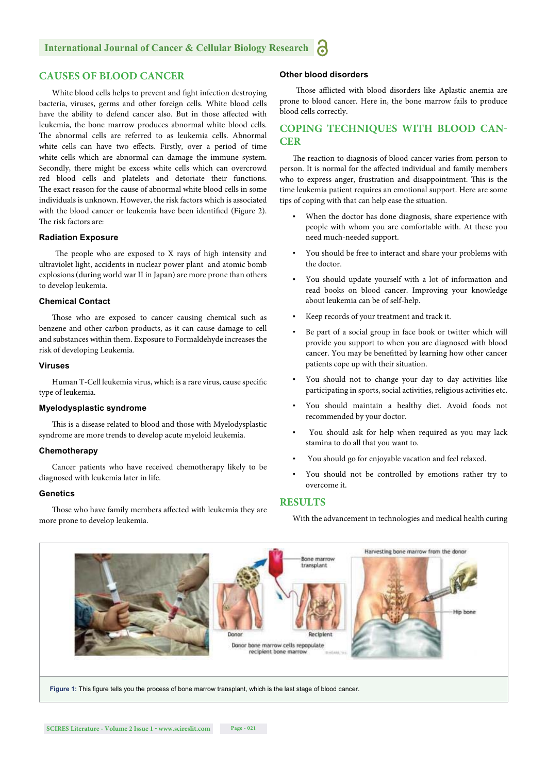#### **CAUSES OF BLOOD CANCER**

White blood cells helps to prevent and fight infection destroying bacteria, viruses, germs and other foreign cells. White blood cells have the ability to defend cancer also. But in those affected with leukemia, the bone marrow produces abnormal white blood cells. The abnormal cells are referred to as leukemia cells. Abnormal white cells can have two effects. Firstly, over a period of time white cells which are abnormal can damage the immune system. Secondly, there might be excess white cells which can overcrowd red blood cells and platelets and detoriate their functions. The exact reason for the cause of abnormal white blood cells in some individuals is unknown. However, the risk factors which is associated with the blood cancer or leukemia have been identified (Figure 2). The risk factors are:

#### **Radiation Exposure**

The people who are exposed to X rays of high intensity and ultraviolet light, accidents in nuclear power plant and atomic bomb explosions (during world war II in Japan) are more prone than others to develop leukemia.

#### **Chemical Contact**

Those who are exposed to cancer causing chemical such as benzene and other carbon products, as it can cause damage to cell and substances within them. Exposure to Formaldehyde increases the risk of developing Leukemia.

#### **Viruses**

Human T-Cell leukemia virus, which is a rare virus, cause specific type of leukemia.

#### **Myelodysplastic syndrome**

This is a disease related to blood and those with Myelodysplastic syndrome are more trends to develop acute myeloid leukemia.

#### **Chemotherapy**

Cancer patients who have received chemotherapy likely to be diagnosed with leukemia later in life.

#### **Genetics**

Those who have family members affected with leukemia they are more prone to develop leukemia.

#### **Other blood disorders**

Those afflicted with blood disorders like Aplastic anemia are prone to blood cancer. Here in, the bone marrow fails to produce blood cells correctly.

#### **COPING TECHNIQUES WITH BLOOD CAN-CER**

The reaction to diagnosis of blood cancer varies from person to person. It is normal for the affected individual and family members who to express anger, frustration and disappointment. This is the time leukemia patient requires an emotional support. Here are some tips of coping with that can help ease the situation.

- When the doctor has done diagnosis, share experience with people with whom you are comfortable with. At these you need much-needed support.
- You should be free to interact and share your problems with the doctor.
- You should update yourself with a lot of information and read books on blood cancer. Improving your knowledge about leukemia can be of self-help.
- Keep records of your treatment and track it.
- Be part of a social group in face book or twitter which will provide you support to when you are diagnosed with blood cancer. You may be benefitted by learning how other cancer patients cope up with their situation.
- You should not to change your day to day activities like participating in sports, social activities, religious activities etc.
- You should maintain a healthy diet. Avoid foods not recommended by your doctor.
- You should ask for help when required as you may lack stamina to do all that you want to.
- You should go for enjoyable vacation and feel relaxed.
- You should not be controlled by emotions rather try to overcome it.

#### **RESULTS**

With the advancement in technologies and medical health curing